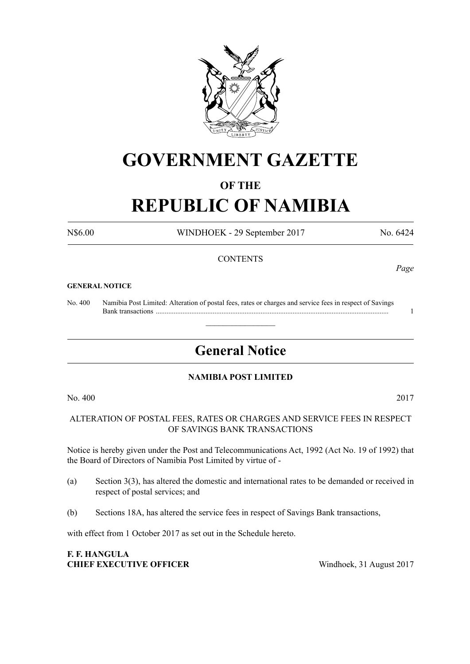

# **GOVERNMENT GAZETTE**

#### **OF THE**

# **REPUBLIC OF NAMIBIA**

N\$6.00 WINDHOEK - 29 September 2017 No. 6424

#### **CONTENTS**

#### **GENERAL NOTICE**

No. 400 Namibia Post Limited: Alteration of postal fees, rates or charges and service fees in respect of Savings Bank transactions ................................................................................................................................... 1

# **General Notice**

 $\overline{\phantom{a}}$  , where  $\overline{\phantom{a}}$ 

#### **NAMIBIA POST LIMITED**

No. 400 2017

ALTERATION OF POSTAL FEES, RATES OR CHARGES AND SERVICE FEES IN RESPECT OF SAVINGS BANK TRANSACTIONS

Notice is hereby given under the Post and Telecommunications Act, 1992 (Act No. 19 of 1992) that the Board of Directors of Namibia Post Limited by virtue of -

- (a) Section 3(3), has altered the domestic and international rates to be demanded or received in respect of postal services; and
- (b) Sections 18A, has altered the service fees in respect of Savings Bank transactions,

with effect from 1 October 2017 as set out in the Schedule hereto.

#### **F. F. HANGULA CHIEF EXECUTIVE OFFICER** Windhoek, 31 August 2017

*Page*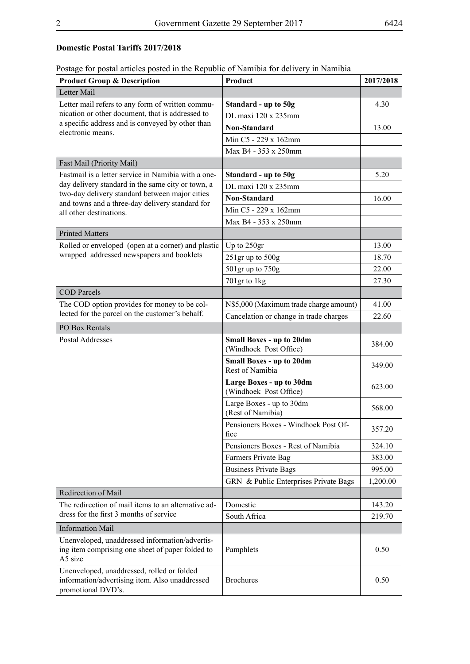### **Domestic Postal Tariffs 2017/2018**

|  | Postage for postal articles posted in the Republic of Namibia for delivery in Namibia |  |
|--|---------------------------------------------------------------------------------------|--|
|  |                                                                                       |  |

| <b>Product Group &amp; Description</b>                                                                             | Product                                                   | 2017/2018 |
|--------------------------------------------------------------------------------------------------------------------|-----------------------------------------------------------|-----------|
| Letter Mail                                                                                                        |                                                           |           |
| Letter mail refers to any form of written commu-                                                                   | Standard - up to 50g                                      | 4.30      |
| nication or other document, that is addressed to                                                                   | DL maxi 120 x 235mm                                       |           |
| a specific address and is conveyed by other than<br>electronic means.                                              | Non-Standard                                              | 13.00     |
|                                                                                                                    | Min C5 - 229 x 162mm                                      |           |
|                                                                                                                    | Max B4 - 353 x 250mm                                      |           |
| Fast Mail (Priority Mail)                                                                                          |                                                           |           |
| Fastmail is a letter service in Namibia with a one-                                                                | Standard - up to 50g                                      | 5.20      |
| day delivery standard in the same city or town, a                                                                  | DL maxi 120 x 235mm                                       |           |
| two-day delivery standard between major cities<br>and towns and a three-day delivery standard for                  | <b>Non-Standard</b>                                       | 16.00     |
| all other destinations.                                                                                            | Min C5 - 229 x 162mm                                      |           |
|                                                                                                                    | Max B4 - 353 x 250mm                                      |           |
| <b>Printed Matters</b>                                                                                             |                                                           |           |
| Rolled or enveloped (open at a corner) and plastic                                                                 | Up to 250gr                                               | 13.00     |
| wrapped addressed newspapers and booklets                                                                          | $251$ gr up to $500g$                                     | 18.70     |
|                                                                                                                    | 501gr up to 750g                                          | 22.00     |
|                                                                                                                    | 701gr to 1kg                                              | 27.30     |
| <b>COD</b> Parcels                                                                                                 |                                                           |           |
| The COD option provides for money to be col-                                                                       | N\$5,000 (Maximum trade charge amount)                    | 41.00     |
| lected for the parcel on the customer's behalf.                                                                    | Cancelation or change in trade charges                    | 22.60     |
| PO Box Rentals                                                                                                     |                                                           |           |
| Postal Addresses                                                                                                   | <b>Small Boxes - up to 20dm</b><br>(Windhoek Post Office) | 384.00    |
|                                                                                                                    | <b>Small Boxes - up to 20dm</b><br>Rest of Namibia        | 349.00    |
|                                                                                                                    | Large Boxes - up to 30dm<br>(Windhoek Post Office)        | 623.00    |
|                                                                                                                    | Large Boxes - up to 30dm<br>(Rest of Namibia)             | 568.00    |
|                                                                                                                    | Pensioners Boxes - Windhoek Post Of-<br>fice              | 357.20    |
|                                                                                                                    | Pensioners Boxes - Rest of Namibia                        | 324.10    |
|                                                                                                                    | Farmers Private Bag                                       | 383.00    |
|                                                                                                                    | <b>Business Private Bags</b>                              | 995.00    |
|                                                                                                                    | GRN & Public Enterprises Private Bags                     | 1,200.00  |
| Redirection of Mail                                                                                                |                                                           |           |
| The redirection of mail items to an alternative ad-                                                                | Domestic                                                  | 143.20    |
| dress for the first 3 months of service                                                                            | South Africa                                              | 219.70    |
| <b>Information Mail</b>                                                                                            |                                                           |           |
| Unenveloped, unaddressed information/advertis-<br>ing item comprising one sheet of paper folded to<br>A5 size      | Pamphlets                                                 | 0.50      |
| Unenveloped, unaddressed, rolled or folded<br>information/advertising item. Also unaddressed<br>promotional DVD's. | <b>Brochures</b>                                          | 0.50      |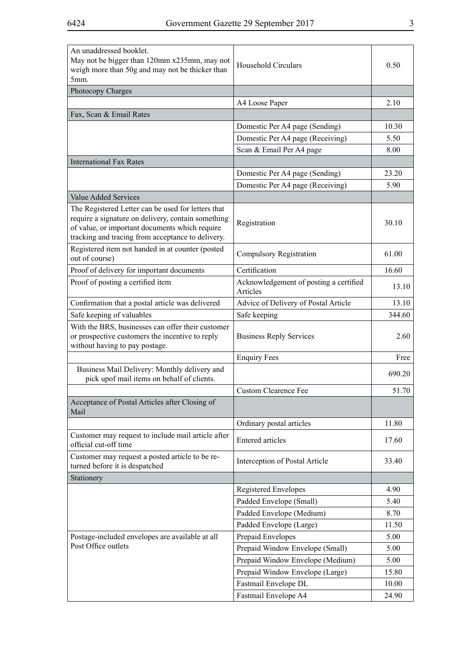| An unaddressed booklet.<br>May not be bigger than 120mm x235mm, may not<br>weigh more than 50g and may not be thicker than<br>5mm.     | Household Circulars                                | 0.50   |
|----------------------------------------------------------------------------------------------------------------------------------------|----------------------------------------------------|--------|
| Photocopy Charges                                                                                                                      |                                                    |        |
|                                                                                                                                        | A4 Loose Paper                                     | 2.10   |
| Fax, Scan & Email Rates                                                                                                                |                                                    |        |
|                                                                                                                                        | Domestic Per A4 page (Sending)                     | 10.30  |
|                                                                                                                                        | Domestic Per A4 page (Receiving)                   | 5.50   |
|                                                                                                                                        | Scan & Email Per A4 page                           | 8.00   |
| <b>International Fax Rates</b>                                                                                                         |                                                    |        |
|                                                                                                                                        | Domestic Per A4 page (Sending)                     | 23.20  |
|                                                                                                                                        | Domestic Per A4 page (Receiving)                   | 5.90   |
| <b>Value Added Services</b>                                                                                                            |                                                    |        |
| The Registered Letter can be used for letters that                                                                                     |                                                    |        |
| require a signature on delivery, contain something                                                                                     |                                                    | 30.10  |
| of value, or important documents which require                                                                                         | Registration                                       |        |
| tracking and tracing from acceptance to delivery.                                                                                      |                                                    |        |
| Registered item not handed in at counter (posted<br>out of course)                                                                     | <b>Compulsory Registration</b>                     | 61.00  |
| Proof of delivery for important documents                                                                                              | Certification                                      | 16.60  |
| Proof of posting a certified item                                                                                                      | Acknowledgement of posting a certified<br>Articles | 13.10  |
| Confirmation that a postal article was delivered                                                                                       | Advice of Delivery of Postal Article               | 13.10  |
| Safe keeping of valuables                                                                                                              | Safe keeping                                       | 344.60 |
| With the BRS, businesses can offer their customer<br>or prospective customers the incentive to reply<br>without having to pay postage. | <b>Business Reply Services</b>                     | 2.60   |
|                                                                                                                                        | <b>Enquiry Fees</b>                                | Free   |
| Business Mail Delivery: Monthly delivery and<br>pick upof mail items on behalf of clients.                                             |                                                    | 690.20 |
|                                                                                                                                        | <b>Custom Clearence Fee</b>                        | 51.70  |
| Acceptance of Postal Articles after Closing of<br>Mail                                                                                 |                                                    |        |
|                                                                                                                                        | Ordinary postal articles                           | 11.80  |
| Customer may request to include mail article after<br>official cut-off time                                                            | <b>Entered</b> articles                            | 17.60  |
| Customer may request a posted article to be re-<br>turned before it is despatched                                                      | Interception of Postal Article                     | 33.40  |
| Stationery                                                                                                                             |                                                    |        |
|                                                                                                                                        | <b>Registered Envelopes</b>                        | 4.90   |
|                                                                                                                                        | Padded Envelope (Small)                            | 5.40   |
|                                                                                                                                        | Padded Envelope (Medium)                           | 8.70   |
|                                                                                                                                        | Padded Envelope (Large)                            | 11.50  |
| Postage-included envelopes are available at all                                                                                        | Prepaid Envelopes                                  | 5.00   |
| Post Office outlets                                                                                                                    | Prepaid Window Envelope (Small)                    | 5.00   |
|                                                                                                                                        | Prepaid Window Envelope (Medium)                   | 5.00   |
|                                                                                                                                        | Prepaid Window Envelope (Large)                    | 15.80  |
|                                                                                                                                        | Fastmail Envelope DL                               | 10.00  |
|                                                                                                                                        | Fastmail Envelope A4                               | 24.90  |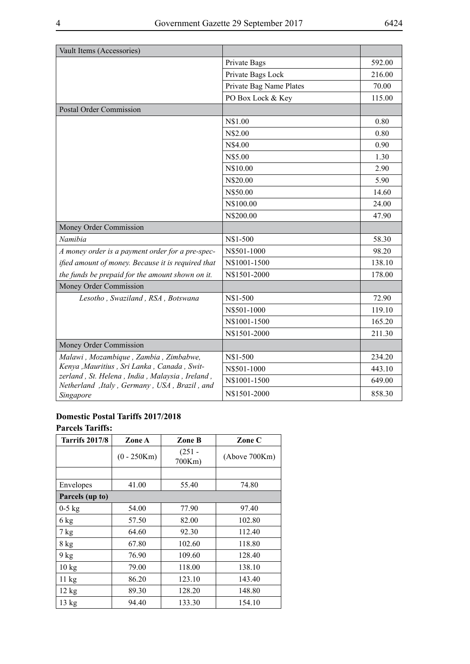| Vault Items (Accessories)                                                                      |                         |        |
|------------------------------------------------------------------------------------------------|-------------------------|--------|
|                                                                                                | Private Bags            | 592.00 |
|                                                                                                | Private Bags Lock       | 216.00 |
|                                                                                                | Private Bag Name Plates | 70.00  |
|                                                                                                | PO Box Lock & Key       | 115.00 |
| Postal Order Commission                                                                        |                         |        |
|                                                                                                | N\$1.00                 | 0.80   |
|                                                                                                | N\$2.00                 | 0.80   |
|                                                                                                | N\$4.00                 | 0.90   |
|                                                                                                | N\$5.00                 | 1.30   |
|                                                                                                | N\$10.00                | 2.90   |
|                                                                                                | N\$20.00                | 5.90   |
|                                                                                                | N\$50.00                | 14.60  |
|                                                                                                | N\$100.00               | 24.00  |
|                                                                                                | N\$200.00               | 47.90  |
| Money Order Commission                                                                         |                         |        |
| Namibia                                                                                        | N\$1-500                | 58.30  |
| A money order is a payment order for a pre-spec-                                               | N\$501-1000             | 98.20  |
| ified amount of money. Because it is required that                                             | N\$1001-1500            | 138.10 |
| the funds be prepaid for the amount shown on it.                                               | N\$1501-2000            | 178.00 |
| Money Order Commission                                                                         |                         |        |
| Lesotho, Swaziland, RSA, Botswana                                                              | N\$1-500                | 72.90  |
|                                                                                                | N\$501-1000             | 119.10 |
|                                                                                                | N\$1001-1500            | 165.20 |
|                                                                                                | N\$1501-2000            | 211.30 |
| Money Order Commission                                                                         |                         |        |
| Malawi, Mozambique, Zambia, Zimbabwe,                                                          | N\$1-500                | 234.20 |
| Kenya , Mauritius , Sri Lanka, Canada, Swit-                                                   | N\$501-1000             | 443.10 |
| zerland, St. Helena, India, Malaysia, Ireland,<br>Netherland, Italy, Germany, USA, Brazil, and | N\$1001-1500            | 649.00 |
| Singapore                                                                                      | N\$1501-2000            | 858.30 |

#### **Domestic Postal Tariffs 2017/2018 Parcels Tariffs:**

| <b>Tarrifs 2017/8</b> | Zone A        | Zone B             | Zone C        |
|-----------------------|---------------|--------------------|---------------|
|                       | $(0 - 250Km)$ | $(251 -$<br>700Km) | (Above 700Km) |
|                       |               |                    |               |
| Envelopes             | 41.00         | 55.40              | 74.80         |
| Parcels (up to)       |               |                    |               |
| $0-5$ kg              | 54.00         | 77.90              | 97.40         |
| 6 kg                  | 57.50         | 82.00              | 102.80        |
| 7 kg                  | 64.60         | 92.30              | 112.40        |
| $8$ kg                | 67.80         | 102.60             | 118.80        |
| 9 kg                  | 76.90         | 109.60             | 128.40        |
| $10 \text{ kg}$       | 79.00         | 118.00             | 138.10        |
| 11 kg                 | 86.20         | 123.10             | 143.40        |
| 12 kg                 | 89.30         | 128.20             | 148.80        |
| 13 kg                 | 94.40         | 133.30             | 154.10        |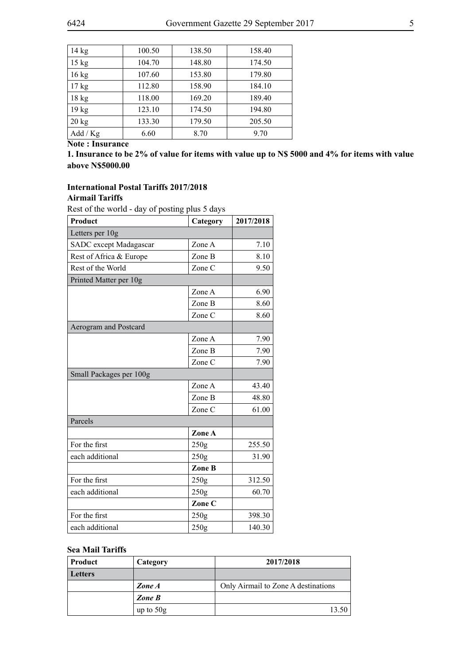| 14 kg            | 100.50 | 138.50 | 158.40 |
|------------------|--------|--------|--------|
| $15$ kg          | 104.70 | 148.80 | 174.50 |
| $16$ kg          | 107.60 | 153.80 | 179.80 |
| $17$ kg          | 112.80 | 158.90 | 184.10 |
| $18$ kg          | 118.00 | 169.20 | 189.40 |
| 19 <sub>kg</sub> | 123.10 | 174.50 | 194.80 |
| $20 \text{ kg}$  | 133.30 | 179.50 | 205.50 |
| Add / Kg         | 6.60   | 8.70   | 9.70   |

**Note : Insurance**

**1. Insurance to be 2% of value for items with value up to N\$ 5000 and 4% for items with value above N\$5000.00**

#### **International Postal Tariffs 2017/2018 Airmail Tariffs**

Rest of the world - day of posting plus 5 days

| Product                 | Category         | 2017/2018 |  |
|-------------------------|------------------|-----------|--|
| Letters per 10g         |                  |           |  |
| SADC except Madagascar  | Zone A           | 7.10      |  |
| Rest of Africa & Europe | Zone B           | 8.10      |  |
| Rest of the World       | Zone C           | 9.50      |  |
| Printed Matter per 10g  |                  |           |  |
|                         | Zone A           | 6.90      |  |
|                         | Zone B           | 8.60      |  |
|                         | Zone C           | 8.60      |  |
| Aerogram and Postcard   |                  |           |  |
|                         | Zone A           | 7.90      |  |
|                         | Zone B           | 7.90      |  |
|                         | Zone C           | 7.90      |  |
| Small Packages per 100g |                  |           |  |
|                         | Zone A           | 43.40     |  |
|                         | Zone B           | 48.80     |  |
|                         | Zone C           | 61.00     |  |
| Parcels                 |                  |           |  |
|                         | Zone A           |           |  |
| For the first           | 250 <sub>g</sub> | 255.50    |  |
| each additional         | 250g             | 31.90     |  |
|                         | Zone B           |           |  |
| For the first           | 250g             | 312.50    |  |
| each additional         | 250g             | 60.70     |  |
|                         | Zone C           |           |  |
| For the first           | 250g             | 398.30    |  |
| each additional         | 250g             | 140.30    |  |

#### **Sea Mail Tariffs**

| Product | Category    | 2017/2018                           |
|---------|-------------|-------------------------------------|
| Letters |             |                                     |
|         | Zone A      | Only Airmail to Zone A destinations |
|         | Zone B      |                                     |
|         | up to $50g$ | 13.50                               |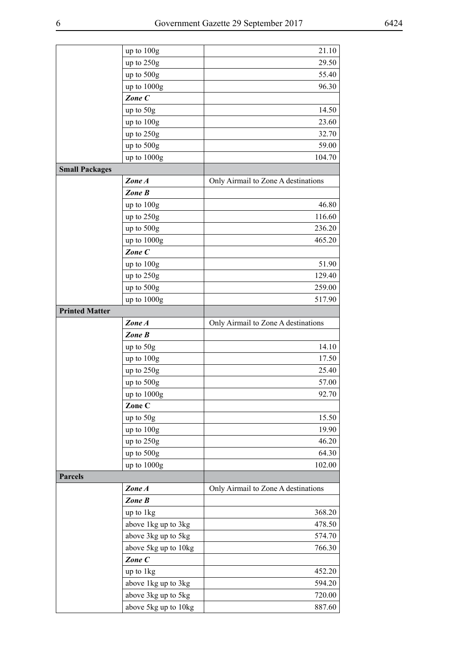|                       | up to 100g                                  | 21.10                               |
|-----------------------|---------------------------------------------|-------------------------------------|
|                       | up to 250g                                  | 29.50                               |
|                       | up to 500g                                  | 55.40                               |
|                       | up to 1000g                                 | 96.30                               |
|                       | Zone C                                      |                                     |
|                       | up to $50g$                                 | 14.50                               |
|                       | up to 100g                                  | 23.60                               |
|                       | up to 250g                                  | 32.70                               |
|                       | up to 500g                                  | 59.00                               |
|                       | up to 1000g                                 | 104.70                              |
| <b>Small Packages</b> |                                             |                                     |
|                       | Zone A                                      | Only Airmail to Zone A destinations |
|                       | Zone B                                      |                                     |
|                       | up to 100g                                  | 46.80                               |
|                       | up to 250g                                  | 116.60                              |
|                       | up to 500g                                  | 236.20                              |
|                       | up to 1000g                                 | 465.20                              |
|                       | Zone C                                      |                                     |
|                       | up to 100g                                  | 51.90                               |
|                       | up to 250g                                  | 129.40                              |
|                       |                                             | 259.00                              |
|                       | up to 500g                                  |                                     |
| <b>Printed Matter</b> | up to 1000g                                 | 517.90                              |
|                       | Zone A                                      |                                     |
|                       | Zone B                                      | Only Airmail to Zone A destinations |
|                       |                                             |                                     |
|                       |                                             |                                     |
|                       | up to $50g$                                 | 14.10                               |
|                       | up to 100g                                  | 17.50                               |
|                       | up to 250g                                  | 25.40                               |
|                       | up to 500g                                  | 57.00                               |
|                       | up to 1000g                                 | 92.70                               |
|                       | Zone C                                      |                                     |
|                       | up to 50g                                   | 15.50                               |
|                       | up to 100g                                  | 19.90                               |
|                       | up to 250g                                  | 46.20                               |
|                       | up to 500g                                  | 64.30                               |
|                       | up to 1000g                                 | 102.00                              |
| <b>Parcels</b>        |                                             |                                     |
|                       | Zone A                                      | Only Airmail to Zone A destinations |
|                       | Zone B                                      |                                     |
|                       | up to 1kg                                   | 368.20                              |
|                       | above 1kg up to 3kg                         | 478.50                              |
|                       | above 3kg up to 5kg                         | 574.70                              |
|                       | above 5kg up to 10kg                        | 766.30                              |
|                       | Zone C                                      |                                     |
|                       | up to 1kg                                   | 452.20                              |
|                       | above 1kg up to 3kg                         | 594.20                              |
|                       | above 3kg up to 5kg<br>above 5kg up to 10kg | 720.00<br>887.60                    |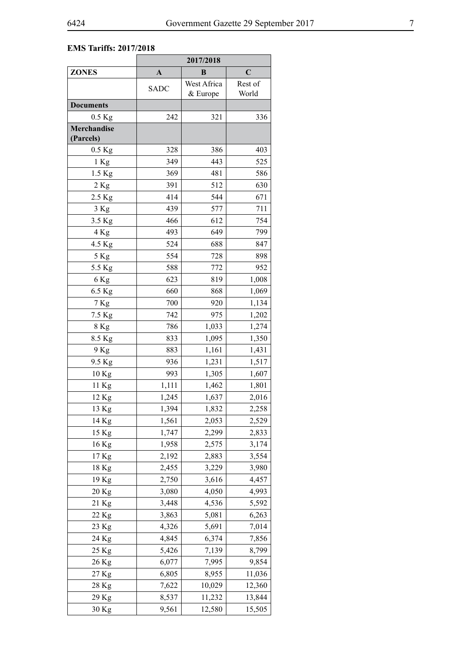## **EMS Tariffs: 2017/2018**

|                          |                  | 2017/2018               |                  |  |
|--------------------------|------------------|-------------------------|------------------|--|
| <b>ZONES</b>             | $\boldsymbol{A}$ | B                       | $\mathbf C$      |  |
|                          | <b>SADC</b>      | West Africa<br>& Europe | Rest of<br>World |  |
| <b>Documents</b>         |                  |                         |                  |  |
| $0.5$ Kg                 | 242              | 321                     | 336              |  |
| Merchandise<br>(Parcels) |                  |                         |                  |  |
| $0.5$ Kg                 | 328              | 386                     | 403              |  |
| 1 Kg                     | 349              | 443                     | 525              |  |
| 1.5 Kg                   | 369              | 481                     | 586              |  |
| $2$ Kg                   | 391              | 512                     | 630              |  |
| 2.5 Kg                   | 414              | 544                     | 671              |  |
| 3 Kg                     | 439              | 577                     | 711              |  |
| 3.5 Kg                   | 466              | 612                     | 754              |  |
| 4 Kg                     | 493              | 649                     | 799              |  |
| 4.5 Kg                   | 524              | 688                     | 847              |  |
| 5 Kg                     | 554              | 728                     | 898              |  |
| 5.5 Kg                   | 588              | 772                     | 952              |  |
| 6 Kg                     | 623              | 819                     | 1,008            |  |
| 6.5 Kg                   | 660              | 868                     | 1,069            |  |
| 7 Kg                     | 700              | 920                     | 1,134            |  |
| 7.5 Kg                   | 742              | 975                     | 1,202            |  |
| 8 Kg                     | 786              | 1,033                   | 1,274            |  |
| 8.5 Kg                   | 833              | 1,095                   | 1,350            |  |
| 9 Kg                     | 883              | 1,161                   | 1,431            |  |
| 9.5 Kg                   | 936              | 1,231                   | 1,517            |  |
| 10 Kg                    | 993              | 1,305                   | 1,607            |  |
| 11 Kg                    | 1,111            | 1,462                   | 1,801            |  |
| 12 Kg                    | 1,245            | 1,637                   | 2,016            |  |
| 13 Kg                    | 1,394            | 1,832                   | 2,258            |  |
| 14 Kg                    | 1,561            | 2,053                   | 2,529            |  |
| 15 Kg                    | 1,747            | 2,299                   | 2,833            |  |
| 16 Kg                    | 1,958            | 2,575                   | 3,174            |  |
| 17 Kg                    | 2,192            | 2,883                   | 3,554            |  |
| 18 Kg                    | 2,455            | 3,229                   | 3,980            |  |
| 19 Kg                    | 2,750            | 3,616                   | 4,457            |  |
| 20 Kg                    | 3,080            | 4,050                   | 4,993            |  |
| 21 Kg                    | 3,448            | 4,536                   | 5,592            |  |
| 22 Kg                    | 3,863            | 5,081                   | 6,263            |  |
| 23 Kg                    | 4,326            | 5,691                   | 7,014            |  |
| 24 Kg                    | 4,845            | 6,374                   | 7,856            |  |
| 25 Kg                    | 5,426            | 7,139                   | 8,799            |  |
| 26 Kg                    | 6,077            | 7,995                   | 9,854            |  |
| 27 Kg                    | 6,805            | 8,955                   | 11,036           |  |
| 28 Kg                    | 7,622            | 10,029                  | 12,360           |  |
| 29 Kg                    | 8,537            | 11,232                  | 13,844           |  |
| 30 Kg                    | 9,561            | 12,580                  | 15,505           |  |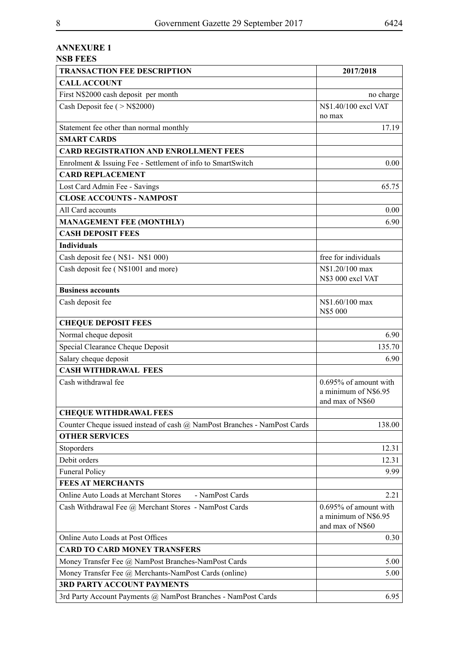### **ANNEXURE 1**

| <b>NSB FEES</b>                                                          |                                                                   |
|--------------------------------------------------------------------------|-------------------------------------------------------------------|
| <b>TRANSACTION FEE DESCRIPTION</b>                                       | 2017/2018                                                         |
| <b>CALLACCOUNT</b>                                                       |                                                                   |
| First N\$2000 cash deposit per month                                     | no charge                                                         |
| Cash Deposit fee ( > N\$2000)                                            | N\$1.40/100 excl VAT<br>no max                                    |
| Statement fee other than normal monthly                                  | 17.19                                                             |
| <b>SMART CARDS</b>                                                       |                                                                   |
| <b>CARD REGISTRATION AND ENROLLMENT FEES</b>                             |                                                                   |
| Enrolment & Issuing Fee - Settlement of info to SmartSwitch              | 0.00                                                              |
| <b>CARD REPLACEMENT</b>                                                  |                                                                   |
| Lost Card Admin Fee - Savings                                            | 65.75                                                             |
| <b>CLOSE ACCOUNTS - NAMPOST</b>                                          |                                                                   |
| All Card accounts                                                        | 0.00                                                              |
| <b>MANAGEMENT FEE (MONTHLY)</b>                                          | 6.90                                                              |
| <b>CASH DEPOSIT FEES</b>                                                 |                                                                   |
| <b>Individuals</b>                                                       |                                                                   |
| Cash deposit fee (N\$1- N\$1 000)                                        | free for individuals                                              |
| Cash deposit fee (N\$1001 and more)                                      | N\$1.20/100 max<br>N\$3 000 excl VAT                              |
| <b>Business accounts</b>                                                 |                                                                   |
| Cash deposit fee                                                         | N\$1.60/100 max<br>N\$5 000                                       |
| <b>CHEQUE DEPOSIT FEES</b>                                               |                                                                   |
| Normal cheque deposit                                                    | 6.90                                                              |
| Special Clearance Cheque Deposit                                         | 135.70                                                            |
| Salary cheque deposit                                                    | 6.90                                                              |
| <b>CASH WITHDRAWAL FEES</b>                                              |                                                                   |
| Cash withdrawal fee                                                      | 0.695% of amount with<br>a minimum of N\$6.95<br>and max of N\$60 |
| <b>CHEQUE WITHDRAWAL FEES</b>                                            |                                                                   |
| Counter Cheque issued instead of cash @ NamPost Branches - NamPost Cards | 138.00                                                            |
| <b>OTHER SERVICES</b>                                                    |                                                                   |
| Stoporders                                                               | 12.31                                                             |
| Debit orders                                                             | 12.31                                                             |
| <b>Funeral Policy</b>                                                    | 9.99                                                              |
| <b>FEES AT MERCHANTS</b>                                                 |                                                                   |
| Online Auto Loads at Merchant Stores<br>- NamPost Cards                  | 2.21                                                              |
| Cash Withdrawal Fee @ Merchant Stores - NamPost Cards                    | 0.695% of amount with<br>a minimum of N\$6.95<br>and max of N\$60 |
| Online Auto Loads at Post Offices                                        | 0.30                                                              |
| <b>CARD TO CARD MONEY TRANSFERS</b>                                      |                                                                   |
| Money Transfer Fee @ NamPost Branches-NamPost Cards                      | 5.00                                                              |
| Money Transfer Fee @ Merchants-NamPost Cards (online)                    | 5.00                                                              |
| <b>3RD PARTY ACCOUNT PAYMENTS</b>                                        |                                                                   |
| 3rd Party Account Payments @ NamPost Branches - NamPost Cards            | 6.95                                                              |